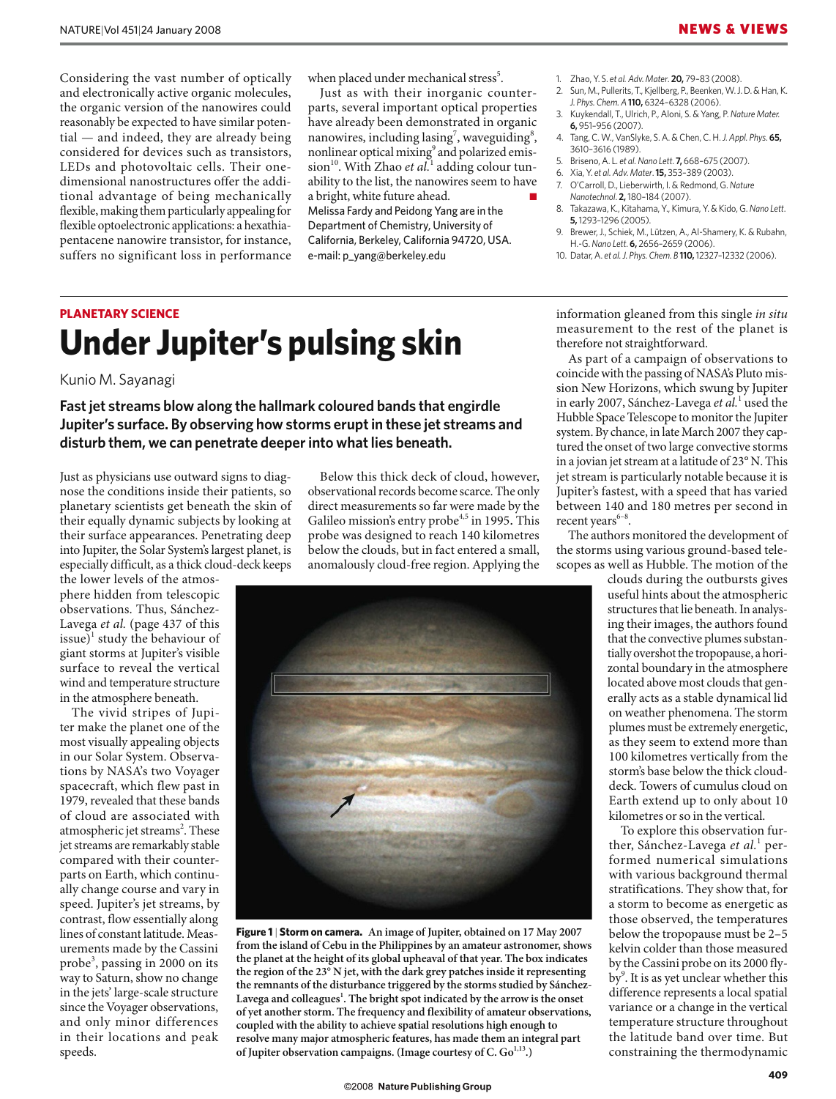Considering the vast number of optically and electronically active organic molecules, the organic version of the nanowires could reasonably be expected to have similar potential — and indeed, they are already being considered for devices such as transistors, LEDs and photovoltaic cells. Their onedimensional nanostructures offer the additional advantage of being mechanically flexible, making them particularly appealing for flexible optoelectronic applications: a hexathiapentacene nanowire transistor, for instance, suffers no significant loss in performance when placed under mechanical stress<sup>5</sup>.

Just as with their inorganic counterparts, several important optical properties have already been demonstrated in organic nanowires, including lasing<sup>7</sup>, waveguiding<sup>8</sup>, nonlinear optical mixing<sup>9</sup> and polarized emis $sion<sup>10</sup>$ . With Zhao *et al.*<sup>1</sup> adding colour tunability to the list, the nanowires seem to have a bright, white future ahead. Melissa Fardy and Peidong Yang are in the Department of Chemistry, University of California, Berkeley, California 94720, USA. e-mail: p\_yang@berkeley.edu

- 1. Zhao, Y. S. *et al. Adv. Mater*. **20,** 79–83 (2008).
- Sun, M., Pullerits, T., Kjellberg, P., Beenken, W. J. D. & Han, K. *J. Phys. Chem. A* **110,** 6324–6328 (2006).
- 3. Kuykendall, T., Ulrich, P., Aloni, S. & Yang, P. *Nature Mater.* **6,** 951–956 (2007).
- 4. Tang, C. W., VanSlyke, S. A. & Chen, C. H. *J. Appl. Phys*. **65,** 3610–3616 (1989).
- 5. Briseno, A. L. *et al.Nano Lett*. **7,** 668–675 (2007).

therefore not straightforward.

- 6. Xia, Y. *et al. Adv. Mater*. **15,** 353–389 (2003).
- 7. O'Carroll, D., Lieberwirth, I. & Redmond, G. *Nature Nanotechnol*. **2,** 180–184 (2007).
- 8. Takazawa, K., Kitahama, Y., Kimura, Y. & Kido, G. *Nano Lett*. **5,** 1293–1296 (2005).
- 9. Brewer, J., Schiek, M., Lützen, A., Al-Shamery, K. & Rubahn, H.-G. *Nano Lett*. **6,** 2656–2659 (2006).

information gleaned from this single *in situ* measurement to the rest of the planet is

As part of a campaign of observations to coincide with the passing of NASA's Pluto mission New Horizons, which swung by Jupiter in early 2007, Sánchez-Lavega *et al.*<sup>1</sup> used the Hubble Space Telescope to monitor the Jupiter system. By chance, in late March 2007 they captured the onset of two large convective storms in a jovian jet stream at a latitude of 23° N. This

10. Datar, A. *et al.J. Phys. Chem. B* **110,** 12327–12332 (2006).

## **PLANETARY SCIENCE Under Jupiter's pulsing skin**

Kunio M. Sayanagi

**Fast jet streams blow along the hallmark coloured bands that engirdle Jupiter's surface. By observing how storms erupt in these jet streams and disturb them, we can penetrate deeper into what lies beneath.**

Just as physicians use outward signs to diagnose the conditions inside their patients, so planetary scientists get beneath the skin of their equally dynamic subjects by looking at their surface appearances. Penetrating deep into Jupiter, the Solar System's largest planet, is especially difficult, as a thick cloud-deck keeps

the lower levels of the atmosphere hidden from telescopic observations. Thus, Sánchez-Lavega *et al.* (page 437 of this issue)<sup>1</sup> study the behaviour of giant storms at Jupiter's visible surface to reveal the vertical wind and temperature structure in the atmosphere beneath.

The vivid stripes of Jupiter make the planet one of the most visually appealing objects in our Solar System. Observations by NASA's two Voyager spacecraft, which flew past in 1979, revealed that these bands of cloud are associated with atmospheric jet streams<sup>2</sup>. These jet streams are remarkably stable compared with their counterparts on Earth, which continually change course and vary in speed. Jupiter's jet streams, by contrast, flow essentially along lines of constant latitude. Measurements made by the Cassini probe<sup>3</sup> , passing in 2000 on its way to Saturn, show no change in the jets' large-scale structure since the Voyager observations, and only minor differences in their locations and peak speeds.

Below this thick deck of cloud, however, observational records become scarce. The only direct measurements so far were made by the Galileo mission's entry probe<sup>4,5</sup> in 1995. This probe was designed to reach 140 kilometres below the clouds, but in fact entered a small, anomalously cloud-free region. Applying the



**Figure 1** | **Storm on camera. An image of Jupiter, obtained on 17 May 2007 from the island of Cebu in the Philippines by an amateur astronomer, shows the planet at the height of its global upheaval of that year. The box indicates the region of the 23**° **N jet, with the dark grey patches inside it representing the remnants of the disturbance triggered by the storms studied by Sánchez-**Lavega and colleagues<sup>1</sup>. The bright spot indicated by the arrow is the onset **of yet another storm. The frequency and flexibility of amateur observations, coupled with the ability to achieve spatial resolutions high enough to resolve many major atmospheric features, has made them an integral part**  of Jupiter observation campaigns. (Image courtesy of C. Go<sup>1,13</sup>.)

jet stream is particularly notable because it is Jupiter's fastest, with a speed that has varied between 140 and 180 metres per second in recent years $6-8$ . The authors monitored the development of the storms using various ground-based telescopes as well as Hubble. The motion of the clouds during the outbursts gives useful hints about the atmospheric structures that lie beneath. In analysing their images, the authors found

that the convective plumes substantially overshot the tropopause, a horizontal boundary in the atmosphere located above most clouds that generally acts as a stable dynamical lid on weather phenomena. The storm plumes must be extremely energetic, as they seem to extend more than 100 kilometres vertically from the storm's base below the thick clouddeck. Towers of cumulus cloud on Earth extend up to only about 10 kilometres or so in the vertical.

To explore this observation further, Sánchez-Lavega et al.<sup>1</sup> performed numerical simulations with various background thermal stratifications. They show that, for a storm to become as energetic as those observed, the temperatures below the tropopause must be 2–5 kelvin colder than those measured by the Cassini probe on its 2000 flyby<sup>9</sup>. It is as yet unclear whether this difference represents a local spatial variance or a change in the vertical temperature structure throughout the latitude band over time. But constraining the thermodynamic